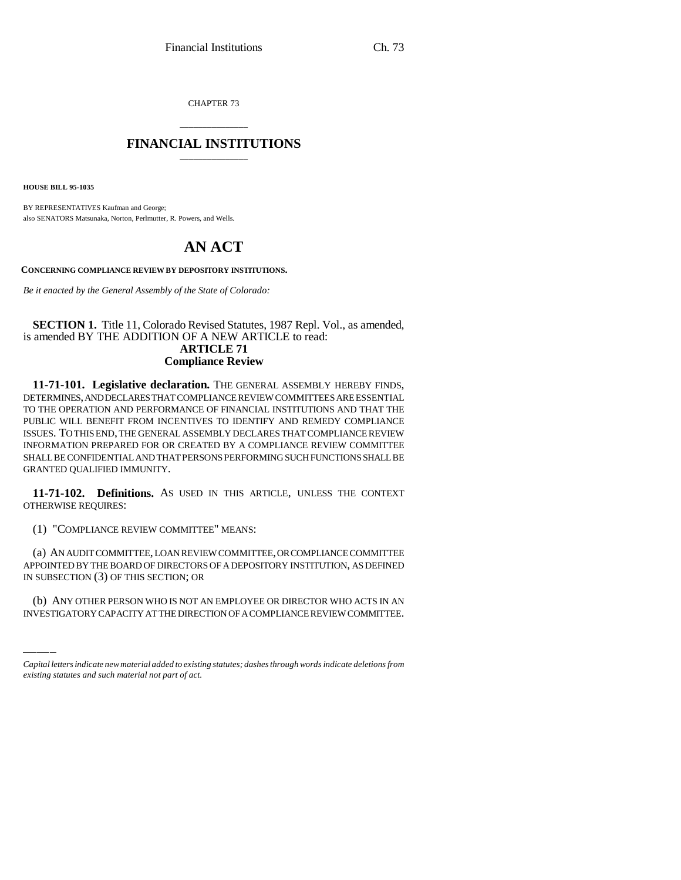CHAPTER 73

## \_\_\_\_\_\_\_\_\_\_\_\_\_\_\_ **FINANCIAL INSTITUTIONS** \_\_\_\_\_\_\_\_\_\_\_\_\_\_\_

**HOUSE BILL 95-1035**

BY REPRESENTATIVES Kaufman and George; also SENATORS Matsunaka, Norton, Perlmutter, R. Powers, and Wells.

## **AN ACT**

**CONCERNING COMPLIANCE REVIEW BY DEPOSITORY INSTITUTIONS.**

*Be it enacted by the General Assembly of the State of Colorado:*

## **SECTION 1.** Title 11, Colorado Revised Statutes, 1987 Repl. Vol., as amended, is amended BY THE ADDITION OF A NEW ARTICLE to read: **ARTICLE 71**

## **Compliance Review**

**11-71-101. Legislative declaration.** THE GENERAL ASSEMBLY HEREBY FINDS, DETERMINES, AND DECLARES THAT COMPLIANCE REVIEW COMMITTEES ARE ESSENTIAL TO THE OPERATION AND PERFORMANCE OF FINANCIAL INSTITUTIONS AND THAT THE PUBLIC WILL BENEFIT FROM INCENTIVES TO IDENTIFY AND REMEDY COMPLIANCE ISSUES. TO THIS END, THE GENERAL ASSEMBLY DECLARES THAT COMPLIANCE REVIEW INFORMATION PREPARED FOR OR CREATED BY A COMPLIANCE REVIEW COMMITTEE SHALL BE CONFIDENTIAL AND THAT PERSONS PERFORMING SUCH FUNCTIONS SHALL BE GRANTED QUALIFIED IMMUNITY.

**11-71-102. Definitions.** AS USED IN THIS ARTICLE, UNLESS THE CONTEXT OTHERWISE REQUIRES:

(1) "COMPLIANCE REVIEW COMMITTEE" MEANS:

APPOINTED BY THE BOARD OF DIRECTORS OF A DEPOSITORY INSTITUTION, AS DEFINED (a) AN AUDIT COMMITTEE, LOAN REVIEW COMMITTEE, OR COMPLIANCE COMMITTEE IN SUBSECTION (3) OF THIS SECTION; OR

(b) ANY OTHER PERSON WHO IS NOT AN EMPLOYEE OR DIRECTOR WHO ACTS IN AN INVESTIGATORY CAPACITY AT THE DIRECTION OF A COMPLIANCE REVIEW COMMITTEE.

*Capital letters indicate new material added to existing statutes; dashes through words indicate deletions from existing statutes and such material not part of act.*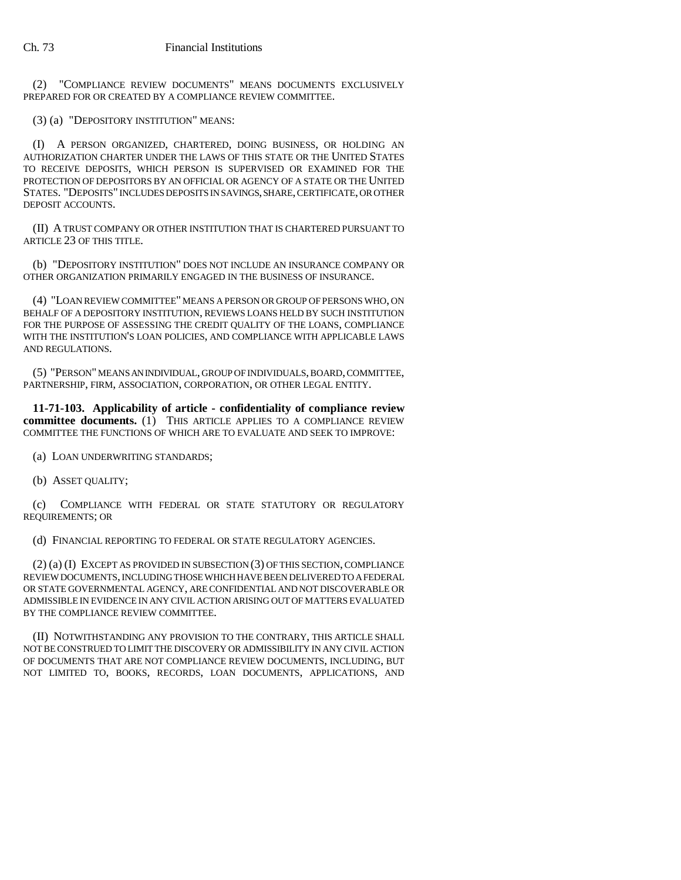(2) "COMPLIANCE REVIEW DOCUMENTS" MEANS DOCUMENTS EXCLUSIVELY PREPARED FOR OR CREATED BY A COMPLIANCE REVIEW COMMITTEE.

(3) (a) "DEPOSITORY INSTITUTION" MEANS:

(I) A PERSON ORGANIZED, CHARTERED, DOING BUSINESS, OR HOLDING AN AUTHORIZATION CHARTER UNDER THE LAWS OF THIS STATE OR THE UNITED STATES TO RECEIVE DEPOSITS, WHICH PERSON IS SUPERVISED OR EXAMINED FOR THE PROTECTION OF DEPOSITORS BY AN OFFICIAL OR AGENCY OF A STATE OR THE UNITED STATES. "DEPOSITS" INCLUDES DEPOSITS IN SAVINGS, SHARE, CERTIFICATE, OR OTHER DEPOSIT ACCOUNTS.

(II) A TRUST COMPANY OR OTHER INSTITUTION THAT IS CHARTERED PURSUANT TO ARTICLE 23 OF THIS TITLE.

(b) "DEPOSITORY INSTITUTION" DOES NOT INCLUDE AN INSURANCE COMPANY OR OTHER ORGANIZATION PRIMARILY ENGAGED IN THE BUSINESS OF INSURANCE.

(4) "LOAN REVIEW COMMITTEE" MEANS A PERSON OR GROUP OF PERSONS WHO, ON BEHALF OF A DEPOSITORY INSTITUTION, REVIEWS LOANS HELD BY SUCH INSTITUTION FOR THE PURPOSE OF ASSESSING THE CREDIT QUALITY OF THE LOANS, COMPLIANCE WITH THE INSTITUTION'S LOAN POLICIES, AND COMPLIANCE WITH APPLICABLE LAWS AND REGULATIONS.

(5) "PERSON" MEANS AN INDIVIDUAL, GROUP OF INDIVIDUALS, BOARD, COMMITTEE, PARTNERSHIP, FIRM, ASSOCIATION, CORPORATION, OR OTHER LEGAL ENTITY.

**11-71-103. Applicability of article - confidentiality of compliance review committee documents.** (1) THIS ARTICLE APPLIES TO A COMPLIANCE REVIEW COMMITTEE THE FUNCTIONS OF WHICH ARE TO EVALUATE AND SEEK TO IMPROVE:

(a) LOAN UNDERWRITING STANDARDS;

(b) ASSET QUALITY;

(c) COMPLIANCE WITH FEDERAL OR STATE STATUTORY OR REGULATORY REQUIREMENTS; OR

(d) FINANCIAL REPORTING TO FEDERAL OR STATE REGULATORY AGENCIES.

(2) (a) (I) EXCEPT AS PROVIDED IN SUBSECTION (3) OF THIS SECTION, COMPLIANCE REVIEW DOCUMENTS, INCLUDING THOSE WHICH HAVE BEEN DELIVERED TO A FEDERAL OR STATE GOVERNMENTAL AGENCY, ARE CONFIDENTIAL AND NOT DISCOVERABLE OR ADMISSIBLE IN EVIDENCE IN ANY CIVIL ACTION ARISING OUT OF MATTERS EVALUATED BY THE COMPLIANCE REVIEW COMMITTEE.

(II) NOTWITHSTANDING ANY PROVISION TO THE CONTRARY, THIS ARTICLE SHALL NOT BE CONSTRUED TO LIMIT THE DISCOVERY OR ADMISSIBILITY IN ANY CIVIL ACTION OF DOCUMENTS THAT ARE NOT COMPLIANCE REVIEW DOCUMENTS, INCLUDING, BUT NOT LIMITED TO, BOOKS, RECORDS, LOAN DOCUMENTS, APPLICATIONS, AND